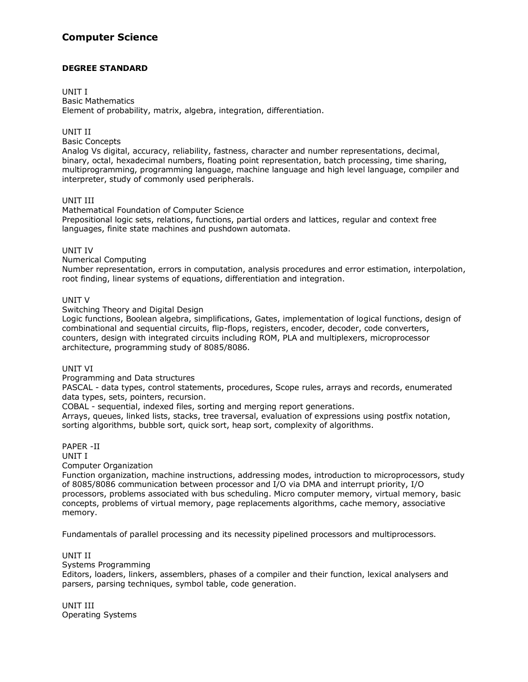## **Computer Science**

## **DEGREE STANDARD**

## UNIT I

Basic Mathematics Element of probability, matrix, algebra, integration, differentiation.

## UNIT II

Basic Concepts

Analog Vs digital, accuracy, reliability, fastness, character and number representations, decimal, binary, octal, hexadecimal numbers, floating point representation, batch processing, time sharing, multiprogramming, programming language, machine language and high level language, compiler and interpreter, study of commonly used peripherals.

## UNIT III

Mathematical Foundation of Computer Science Prepositional logic sets, relations, functions, partial orders and lattices, regular and context free languages, finite state machines and pushdown automata.

## UNIT IV

Numerical Computing

Number representation, errors in computation, analysis procedures and error estimation, interpolation, root finding, linear systems of equations, differentiation and integration.

## UNIT V

Switching Theory and Digital Design

Logic functions, Boolean algebra, simplifications, Gates, implementation of logical functions, design of combinational and sequential circuits, flip-flops, registers, encoder, decoder, code converters, counters, design with integrated circuits including ROM, PLA and multiplexers, microprocessor architecture, programming study of 8085/8086.

## UNIT VI

Programming and Data structures

PASCAL - data types, control statements, procedures, Scope rules, arrays and records, enumerated data types, sets, pointers, recursion.

COBAL - sequential, indexed files, sorting and merging report generations.

Arrays, queues, linked lists, stacks, tree traversal, evaluation of expressions using postfix notation, sorting algorithms, bubble sort, quick sort, heap sort, complexity of algorithms.

#### PAPER -II UNIT I

Computer Organization

Function organization, machine instructions, addressing modes, introduction to microprocessors, study of 8085/8086 communication between processor and I/O via DMA and interrupt priority, I/O processors, problems associated with bus scheduling. Micro computer memory, virtual memory, basic concepts, problems of virtual memory, page replacements algorithms, cache memory, associative memory.

Fundamentals of parallel processing and its necessity pipelined processors and multiprocessors.

## UNIT II

Systems Programming

Editors, loaders, linkers, assemblers, phases of a compiler and their function, lexical analysers and parsers, parsing techniques, symbol table, code generation.

UNIT III Operating Systems